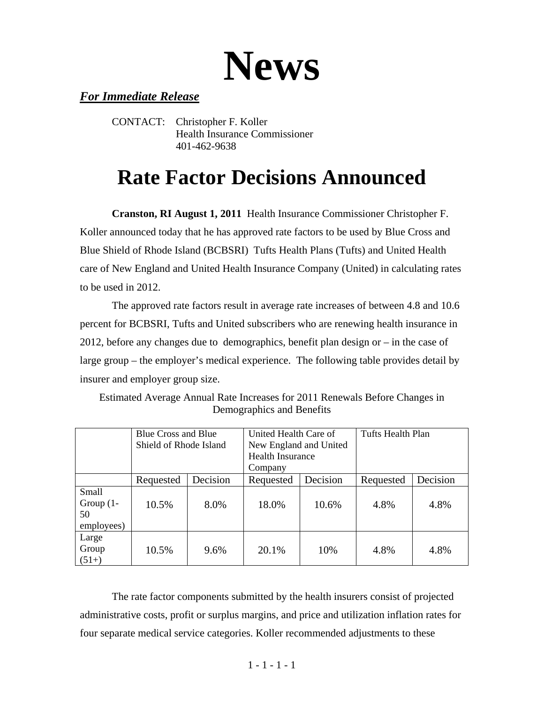# **News**

### *For Immediate Release*

CONTACT: Christopher F. Koller Health Insurance Commissioner 401-462-9638

## **Rate Factor Decisions Announced**

**Cranston, RI August 1, 2011** Health Insurance Commissioner Christopher F. Koller announced today that he has approved rate factors to be used by Blue Cross and Blue Shield of Rhode Island (BCBSRI) Tufts Health Plans (Tufts) and United Health care of New England and United Health Insurance Company (United) in calculating rates to be used in 2012.

 The approved rate factors result in average rate increases of between 4.8 and 10.6 percent for BCBSRI, Tufts and United subscribers who are renewing health insurance in 2012, before any changes due to demographics, benefit plan design or – in the case of large group – the employer's medical experience. The following table provides detail by insurer and employer group size.

|                                           | <b>Blue Cross and Blue</b><br>Shield of Rhode Island |          | United Health Care of<br>New England and United<br><b>Health Insurance</b><br>Company |          | Tufts Health Plan |          |
|-------------------------------------------|------------------------------------------------------|----------|---------------------------------------------------------------------------------------|----------|-------------------|----------|
|                                           | Requested                                            | Decision | Requested                                                                             | Decision | Requested         | Decision |
| Small<br>Group $(1 -$<br>50<br>employees) | 10.5%                                                | 8.0%     | 18.0%                                                                                 | 10.6%    | 4.8%              | 4.8%     |
| Large<br>Group<br>$(51+)$                 | 10.5%                                                | 9.6%     | 20.1%                                                                                 | 10%      | 4.8%              | 4.8%     |

Estimated Average Annual Rate Increases for 2011 Renewals Before Changes in Demographics and Benefits

 The rate factor components submitted by the health insurers consist of projected administrative costs, profit or surplus margins, and price and utilization inflation rates for four separate medical service categories. Koller recommended adjustments to these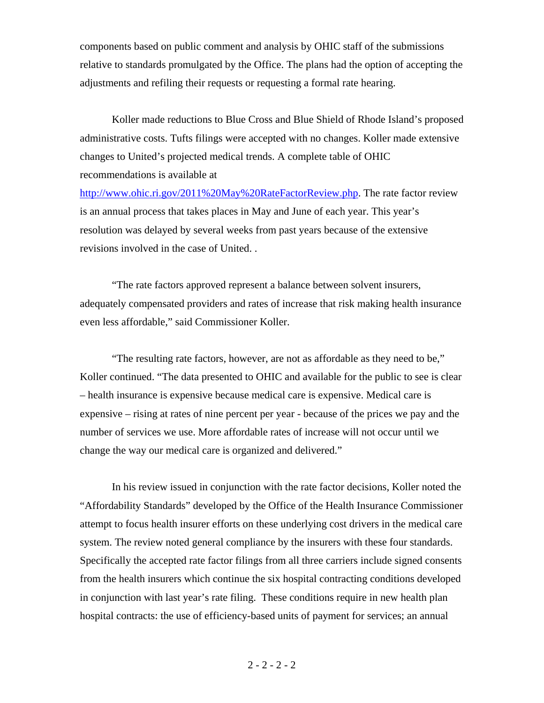components based on public comment and analysis by OHIC staff of the submissions relative to standards promulgated by the Office. The plans had the option of accepting the adjustments and refiling their requests or requesting a formal rate hearing.

 Koller made reductions to Blue Cross and Blue Shield of Rhode Island's proposed administrative costs. Tufts filings were accepted with no changes. Koller made extensive changes to United's projected medical trends. A complete table of OHIC recommendations is available at

http://www.ohic.ri.gov/2011%20May%20RateFactorReview.php. The rate factor review is an annual process that takes places in May and June of each year. This year's resolution was delayed by several weeks from past years because of the extensive revisions involved in the case of United. .

 "The rate factors approved represent a balance between solvent insurers, adequately compensated providers and rates of increase that risk making health insurance even less affordable," said Commissioner Koller.

 "The resulting rate factors, however, are not as affordable as they need to be," Koller continued. "The data presented to OHIC and available for the public to see is clear – health insurance is expensive because medical care is expensive. Medical care is expensive – rising at rates of nine percent per year - because of the prices we pay and the number of services we use. More affordable rates of increase will not occur until we change the way our medical care is organized and delivered."

 In his review issued in conjunction with the rate factor decisions, Koller noted the "Affordability Standards" developed by the Office of the Health Insurance Commissioner attempt to focus health insurer efforts on these underlying cost drivers in the medical care system. The review noted general compliance by the insurers with these four standards. Specifically the accepted rate factor filings from all three carriers include signed consents from the health insurers which continue the six hospital contracting conditions developed in conjunction with last year's rate filing. These conditions require in new health plan hospital contracts: the use of efficiency-based units of payment for services; an annual

#### $2 - 2 - 2 - 2$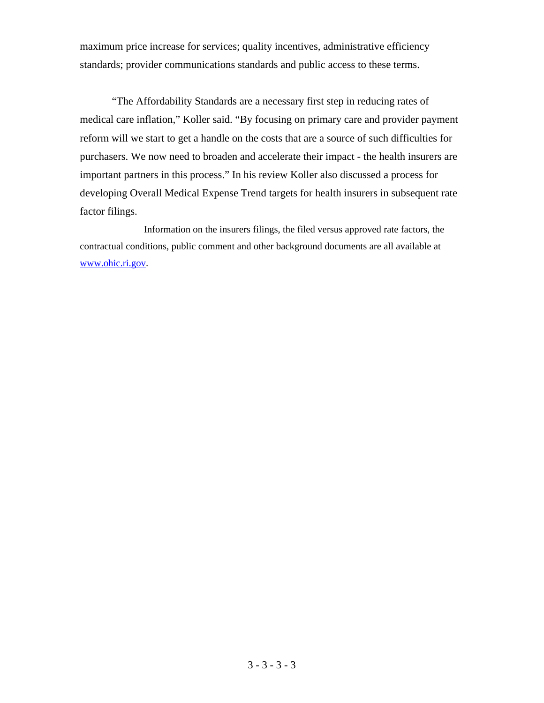maximum price increase for services; quality incentives, administrative efficiency standards; provider communications standards and public access to these terms.

 "The Affordability Standards are a necessary first step in reducing rates of medical care inflation," Koller said. "By focusing on primary care and provider payment reform will we start to get a handle on the costs that are a source of such difficulties for purchasers. We now need to broaden and accelerate their impact - the health insurers are important partners in this process." In his review Koller also discussed a process for developing Overall Medical Expense Trend targets for health insurers in subsequent rate factor filings.

 Information on the insurers filings, the filed versus approved rate factors, the contractual conditions, public comment and other background documents are all available at www.ohic.ri.gov.